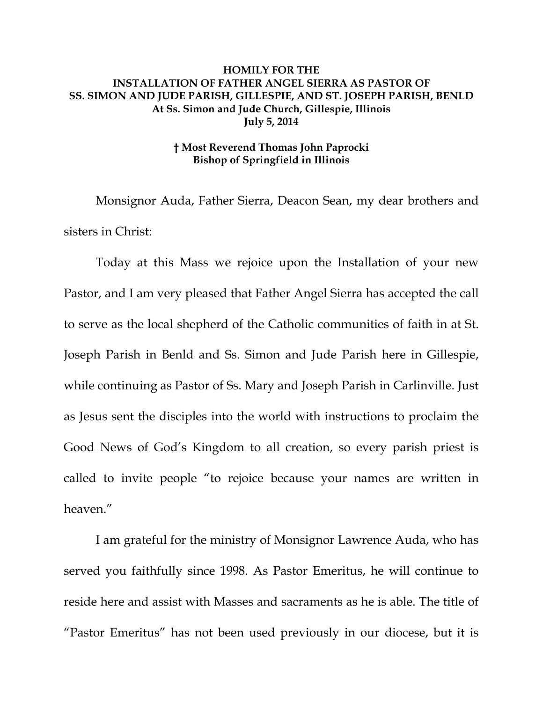## **HOMILY FOR THE INSTALLATION OF FATHER ANGEL SIERRA AS PASTOR OF SS. SIMON AND JUDE PARISH, GILLESPIE, AND ST. JOSEPH PARISH, BENLD At Ss. Simon and Jude Church, Gillespie, Illinois July 5, 2014**

## **† Most Reverend Thomas John Paprocki Bishop of Springfield in Illinois**

 Monsignor Auda, Father Sierra, Deacon Sean, my dear brothers and sisters in Christ:

Today at this Mass we rejoice upon the Installation of your new Pastor, and I am very pleased that Father Angel Sierra has accepted the call to serve as the local shepherd of the Catholic communities of faith in at St. Joseph Parish in Benld and Ss. Simon and Jude Parish here in Gillespie, while continuing as Pastor of Ss. Mary and Joseph Parish in Carlinville. Just as Jesus sent the disciples into the world with instructions to proclaim the Good News of God's Kingdom to all creation, so every parish priest is called to invite people "to rejoice because your names are written in heaven."

I am grateful for the ministry of Monsignor Lawrence Auda, who has served you faithfully since 1998. As Pastor Emeritus, he will continue to reside here and assist with Masses and sacraments as he is able. The title of "Pastor Emeritus" has not been used previously in our diocese, but it is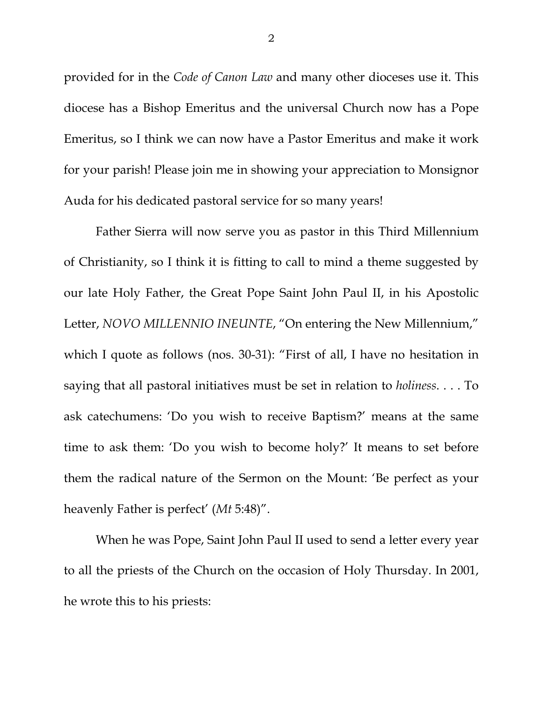provided for in the *Code of Canon Law* and many other dioceses use it. This diocese has a Bishop Emeritus and the universal Church now has a Pope Emeritus, so I think we can now have a Pastor Emeritus and make it work for your parish! Please join me in showing your appreciation to Monsignor Auda for his dedicated pastoral service for so many years!

Father Sierra will now serve you as pastor in this Third Millennium of Christianity, so I think it is fitting to call to mind a theme suggested by our late Holy Father, the Great Pope Saint John Paul II, in his Apostolic Letter, *NOVO MILLENNIO INEUNTE*, "On entering the New Millennium," which I quote as follows (nos. 30-31): "First of all, I have no hesitation in saying that all pastoral initiatives must be set in relation to *holiness*. . . . To ask catechumens: 'Do you wish to receive Baptism?' means at the same time to ask them: 'Do you wish to become holy?' It means to set before them the radical nature of the Sermon on the Mount: 'Be perfect as your heavenly Father is perfect' (*Mt* 5:48)".

When he was Pope, Saint John Paul II used to send a letter every year to all the priests of the Church on the occasion of Holy Thursday. In 2001, he wrote this to his priests: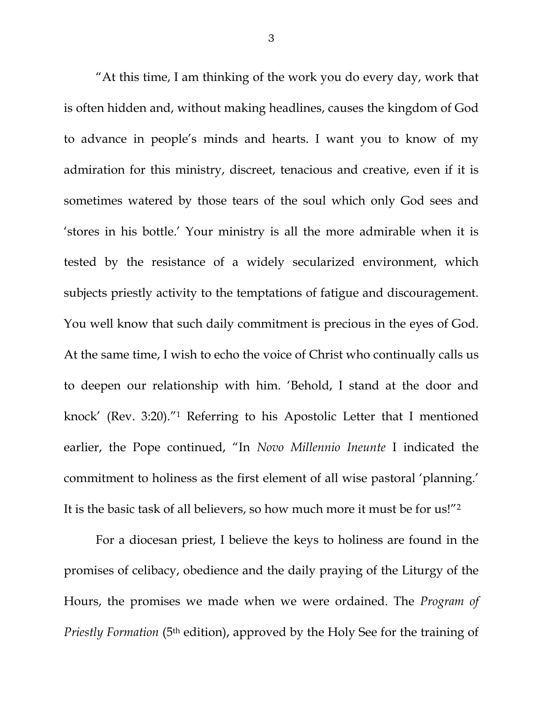"At this time, I am thinking of the work you do every day, work that is often hidden and, without making headlines, causes the kingdom of God to advance in people's minds and hearts. I want you to know of my admiration for this ministry, discreet, tenacious and creative, even if it is sometimes watered by those tears of the soul which only God sees and 'stores in his bottle.' Your ministry is all the more admirable when it is tested by the resistance of a widely secularized environment, which subjects priestly activity to the temptations of fatigue and discouragement. You well know that such daily commitment is precious in the eyes of God. At the same time, I wish to echo the voice of Christ who continually calls us to deepen our relationship with him. 'Behold, I stand at the door and knock' (Rev. 3:20)."1 Referring to his Apostolic Letter that I mentioned earlier, the Pope continued, "In *Novo Millennio Ineunte* I indicated the commitment to holiness as the first element of all wise pastoral 'planning.' It is the basic task of all believers, so how much more it must be for us!"2

For a diocesan priest, I believe the keys to holiness are found in the promises of celibacy, obedience and the daily praying of the Liturgy of the Hours, the promises we made when we were ordained. The *Program of Priestly Formation* (5<sup>th</sup> edition), approved by the Holy See for the training of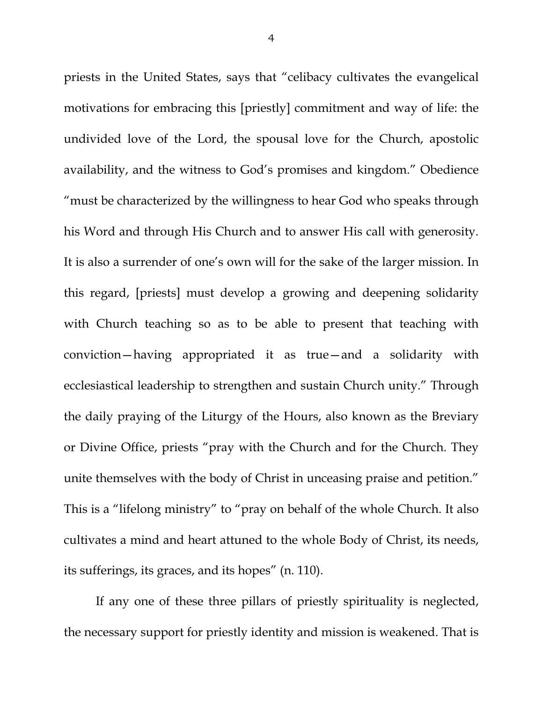priests in the United States, says that "celibacy cultivates the evangelical motivations for embracing this [priestly] commitment and way of life: the undivided love of the Lord, the spousal love for the Church, apostolic availability, and the witness to God's promises and kingdom." Obedience "must be characterized by the willingness to hear God who speaks through his Word and through His Church and to answer His call with generosity. It is also a surrender of one's own will for the sake of the larger mission. In this regard, [priests] must develop a growing and deepening solidarity with Church teaching so as to be able to present that teaching with conviction—having appropriated it as true—and a solidarity with ecclesiastical leadership to strengthen and sustain Church unity." Through the daily praying of the Liturgy of the Hours, also known as the Breviary or Divine Office, priests "pray with the Church and for the Church. They unite themselves with the body of Christ in unceasing praise and petition." This is a "lifelong ministry" to "pray on behalf of the whole Church. It also cultivates a mind and heart attuned to the whole Body of Christ, its needs, its sufferings, its graces, and its hopes" (n. 110).

 If any one of these three pillars of priestly spirituality is neglected, the necessary support for priestly identity and mission is weakened. That is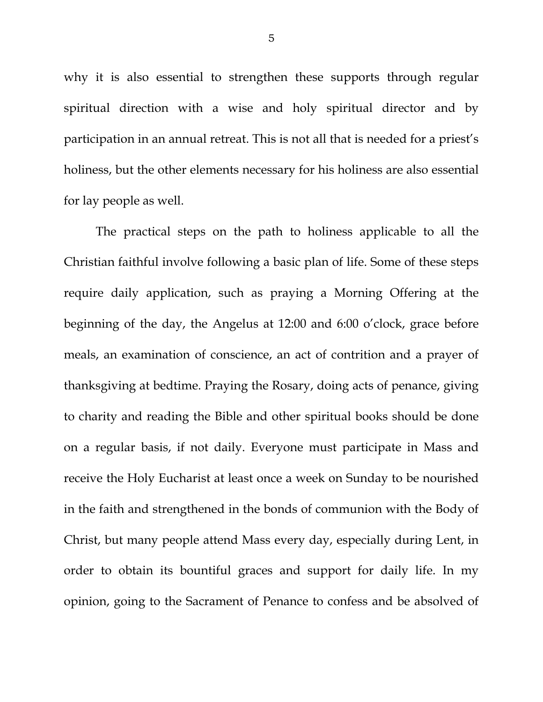why it is also essential to strengthen these supports through regular spiritual direction with a wise and holy spiritual director and by participation in an annual retreat. This is not all that is needed for a priest's holiness, but the other elements necessary for his holiness are also essential for lay people as well.

 The practical steps on the path to holiness applicable to all the Christian faithful involve following a basic plan of life. Some of these steps require daily application, such as praying a Morning Offering at the beginning of the day, the Angelus at 12:00 and 6:00 o'clock, grace before meals, an examination of conscience, an act of contrition and a prayer of thanksgiving at bedtime. Praying the Rosary, doing acts of penance, giving to charity and reading the Bible and other spiritual books should be done on a regular basis, if not daily. Everyone must participate in Mass and receive the Holy Eucharist at least once a week on Sunday to be nourished in the faith and strengthened in the bonds of communion with the Body of Christ, but many people attend Mass every day, especially during Lent, in order to obtain its bountiful graces and support for daily life. In my opinion, going to the Sacrament of Penance to confess and be absolved of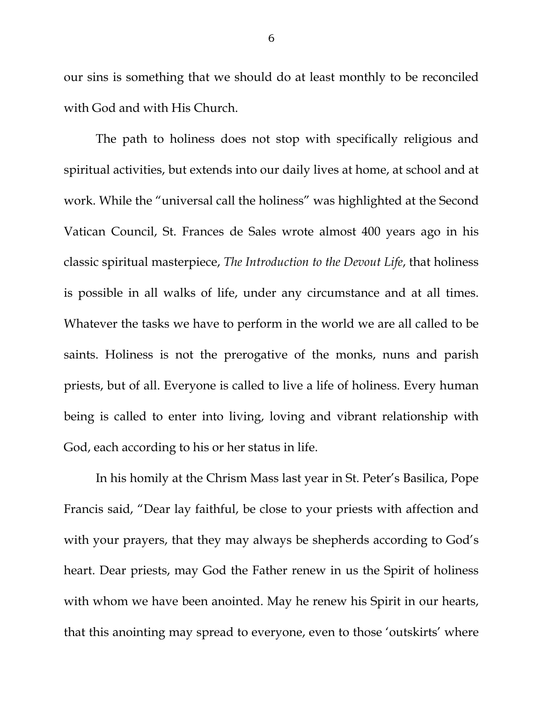our sins is something that we should do at least monthly to be reconciled with God and with His Church.

 The path to holiness does not stop with specifically religious and spiritual activities, but extends into our daily lives at home, at school and at work. While the "universal call the holiness" was highlighted at the Second Vatican Council, St. Frances de Sales wrote almost 400 years ago in his classic spiritual masterpiece, *The Introduction to the Devout Life*, that holiness is possible in all walks of life, under any circumstance and at all times. Whatever the tasks we have to perform in the world we are all called to be saints. Holiness is not the prerogative of the monks, nuns and parish priests, but of all. Everyone is called to live a life of holiness. Every human being is called to enter into living, loving and vibrant relationship with God, each according to his or her status in life.

In his homily at the Chrism Mass last year in St. Peter's Basilica, Pope Francis said, "Dear lay faithful, be close to your priests with affection and with your prayers, that they may always be shepherds according to God's heart. Dear priests, may God the Father renew in us the Spirit of holiness with whom we have been anointed. May he renew his Spirit in our hearts, that this anointing may spread to everyone, even to those 'outskirts' where